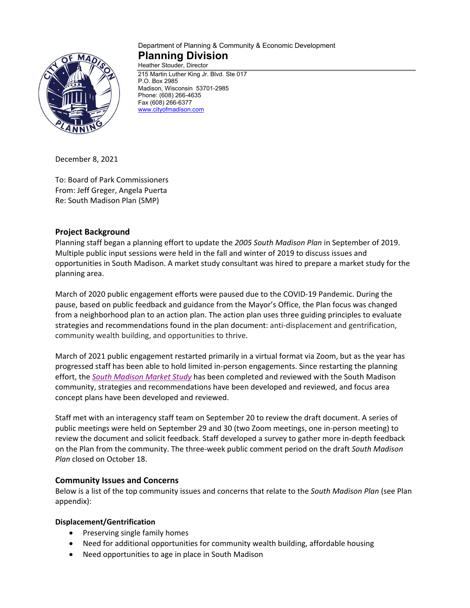

#### Department of Planning & Community & Economic Development **Planning Division** Heather Stouder, Director

215 Martin Luther King Jr. Blvd. Ste 017 P.O. Box 2985 Madison, Wisconsin 53701-2985 Phone: (608) 266-4635 Fax (608) 266-6377 [www.cityofmadison.com](http://www.cityofmadison.com/)

December 8, 2021

To: Board of Park Commissioners From: Jeff Greger, Angela Puerta Re: South Madison Plan (SMP)

# **Project Background**

Planning staff began a planning effort to update the *2005 South Madison Plan* in September of 2019. Multiple public input sessions were held in the fall and winter of 2019 to discuss issues and opportunities in South Madison. A market study consultant was hired to prepare a market study for the planning area.

March of 2020 public engagement efforts were paused due to the COVID-19 Pandemic. During the pause, based on public feedback and guidance from the Mayor's Office, the Plan focus was changed from a neighborhood plan to an action plan. The action plan uses three guiding principles to evaluate strategies and recommendations found in the plan document: anti-displacement and gentrification, community wealth building, and opportunities to thrive.

March of 2021 public engagement restarted primarily in a virtual format via Zoom, but as the year has progressed staff has been able to hold limited in-person engagements. Since restarting the planning effort, the *[South Madison Market Study](https://www.cityofmadison.com/dpced/planning/documents/South%20Madison%20Market%20Study_V12.pdf)* has been completed and reviewed with the South Madison community, strategies and recommendations have been developed and reviewed, and focus area concept plans have been developed and reviewed.

Staff met with an interagency staff team on September 20 to review the draft document. A series of public meetings were held on September 29 and 30 (two Zoom meetings, one in-person meeting) to review the document and solicit feedback. Staff developed a survey to gather more in-depth feedback on the Plan from the community. The three-week public comment period on the draft *South Madison Plan* closed on October 18.

## **Community Issues and Concerns**

Below is a list of the top community issues and concerns that relate to the *South Madison Plan* (see Plan appendix):

## **Displacement/Gentrification**

- Preserving single family homes
- Need for additional opportunities for community wealth building, affordable housing
- Need opportunities to age in place in South Madison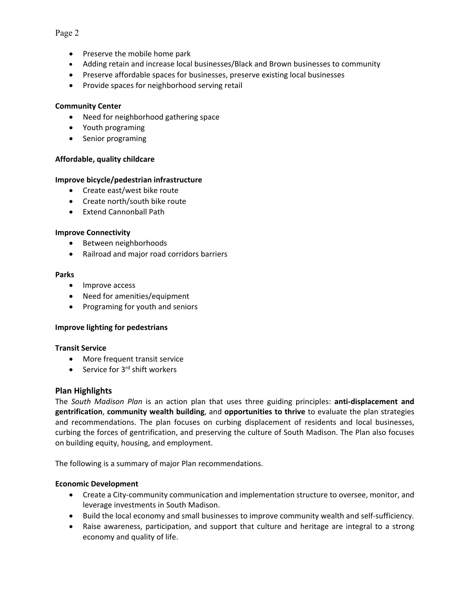## • Preserve the mobile home park

- Adding retain and increase local businesses/Black and Brown businesses to community
- Preserve affordable spaces for businesses, preserve existing local businesses
- Provide spaces for neighborhood serving retail

### **Community Center**

- Need for neighborhood gathering space
- Youth programing
- Senior programing

### **Affordable, quality childcare**

### **Improve bicycle/pedestrian infrastructure**

- Create east/west bike route
- Create north/south bike route
- Extend Cannonball Path

#### **Improve Connectivity**

- Between neighborhoods
- Railroad and major road corridors barriers

#### **Parks**

- Improve access
- Need for amenities/equipment
- Programing for youth and seniors

#### **Improve lighting for pedestrians**

#### **Transit Service**

- More frequent transit service
- Service for  $3^{rd}$  shift workers

#### **Plan Highlights**

The *South Madison Plan* is an action plan that uses three guiding principles: **anti-displacement and gentrification**, **community wealth building**, and **opportunities to thrive** to evaluate the plan strategies and recommendations. The plan focuses on curbing displacement of residents and local businesses, curbing the forces of gentrification, and preserving the culture of South Madison. The Plan also focuses on building equity, housing, and employment.

The following is a summary of major Plan recommendations.

## **Economic Development**

- Create a City-community communication and implementation structure to oversee, monitor, and leverage investments in South Madison.
- Build the local economy and small businesses to improve community wealth and self-sufficiency.
- Raise awareness, participation, and support that culture and heritage are integral to a strong economy and quality of life.

### Page 2